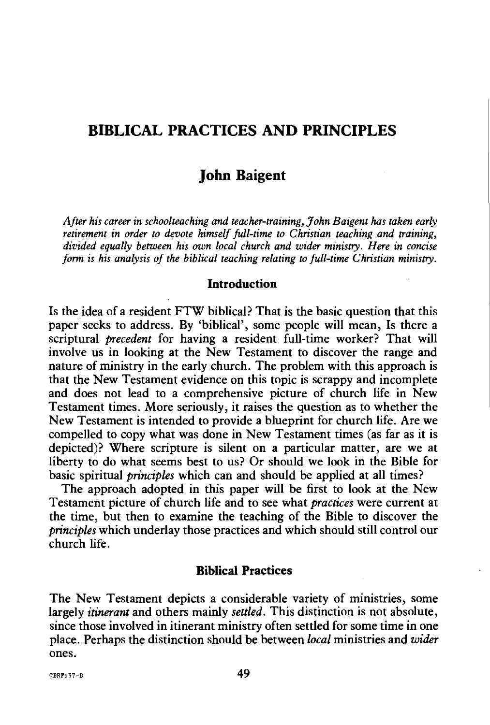## **BIBLICAL PRACTICES AND PRINCIPLES**

# **John Baigent**

*After his career in schoolteaching and teacher-training, John Baigent has taken early retirement in order to devote himself full-time to Christian teaching and training,*  divided equally between his own local church and wider ministry. Here in concise *form is his analysis of the biblical teaching relating* to *full-time Christian ministry.* 

#### **Introduction**

Is the idea of a resident FTW biblical? That is the basic question that this paper seeks to address. By 'biblical', some people will mean, Is there a scriptural *precedent* for having a resident full-time worker? That will involve us in looking at the New Testament to discover the range and nature of ministry in the early church. The problem with this approach is that the New Testament evidence on this topic is scrappy and incomplete and does not lead to a comprehensive picture of church life in New Testament times. More seriously, it raises the question as to whether the New Testament is intended to provide a blueprint for church life. Are we compelled to copy what was done in New Testament times (as far as it is depicted)? Where scripture is silent on a particular matter, are we at liberty to do what seems best to us? Or should we look in the Bible for basic spiritual *principles* which can and should be applied at all times?

The approach adopted in this paper will be first to look at the New Testament picture of church life and to see what *practices* were current at the time, but then to examine the teaching of the Bible to discover the *principles* which underlay those practices and which should still control our church life.

#### **Biblical Practices**

The New Testament depicts a considerable variety of ministries, some largely *itinerant* and others mainly *settled.* This distinction is not absolute, since those involved in itinerant ministry often settled for some time in one place. Perhaps the distinction should be between *local* ministries and *wider*  ones.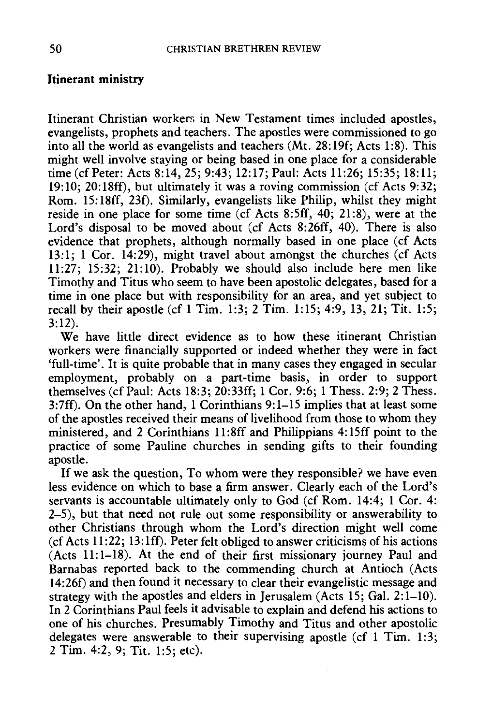#### Itinerant ministry

Itinerant Christian workers in New Testament times included apostles, evangelists, prophets and teachers. The apostles were commissioned to go into all the world as evangelists and teachers (Mt. 28:19f; Acts 1:8). This might well involve staying or being based in one place for a considerable time (cf Peter: Acts 8:14, 25; 9:43; 12:17; Paul: Acts 11:26; 15:35; 18:11; 19:10; 20:18ff), but ultimately it was a roving commission (cf Acts 9:32; Rom. 15: 18ff, 23f). Similarly, evangelists like Philip, whilst they might reside in one place for some time (cf Acts 8:5ff, 40; 21:8), were at the Lord's disposal to be moved about (cf Acts 8:26ff, 40). There is also evidence that prophets, although normally based in one place (cf Acts 13:1; 1 Cor. 14:29), might travel about amongst the churches (cf Acts 11:27; 15:32; 21:10). Probably we should also include here men like Timothy and Titus who seem to have been apostolic delegates, based for a time in one place but with responsibility for an area, and yet subject to recall by their apostle (cf 1 Tim. 1:3; 2 Tim. 1:15; 4:9, 13, 21; Tit. 1:5; 3:12).

We have little direct evidence as to how these itinerant Christian workers were financially supported or indeed whether they were in fact 'full-time'. It is quite probable that in many cases they engaged in secular employment, probably on a part-time basis, in order to support themselves (cfPaul: Acts 18:3; 20:33ff; 1 Cor. 9:6; 1 Thess. 2:9; 2 Thess. 3:7ff). On the other hand, 1 Corinthians 9:1-15 implies that at least some of the apostles received their means of livelihood from those to whom they ministered, and 2 Corinthians 11 :8ff and Philippians 4: 1Sff point to the practice of some Pauline churches in sending gifts to their founding apostle.

If we ask the question, To whom were they responsible? we have even less evidence on which to base a firm answer. Clearly each of the Lord's servants is accountable ultimately only to God (cf Rom. 14:4; 1 Cor. 4: 2-5), but that need not rule out some responsibility or answerability to other Christians through whom the Lord's direction might well come (cf Acts 11 :22; 13: lff). Peter felt obliged to answer criticisms of his actions (Acts 11:1-18). At the end of their first missionary journey Paul and Barnabas reported back to the commending church at Antioch (Acts 14:26f) and then found it necessary to clear their evangelistic message and strategy with the apostles and elders in Jerusalem (Acts 15; Gal. 2:1-10). In 2 Corinthians Paul feels it advisable to explain and defend his actions to one of his churches. Presumably Timothy and Titus and other apostolic delegates were answerable to their supervising apostle (cf 1 Tim. 1:3; 2 Tim. *4:2,* 9; Tit. 1:5; etc).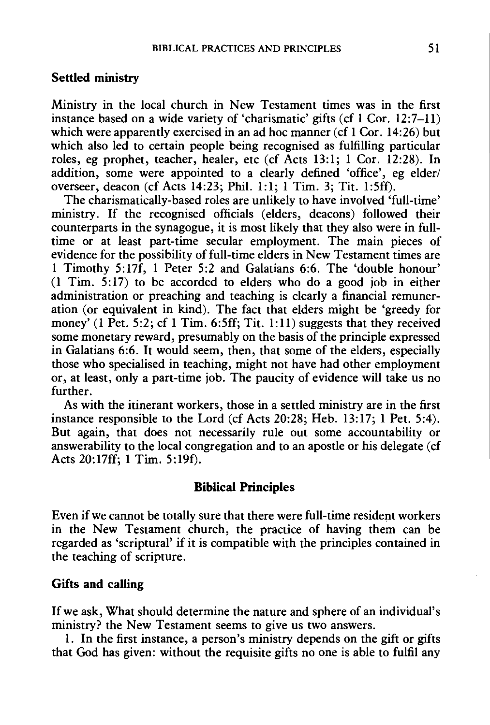#### Settled ministry

Ministry in the local church in New Testament times was in the first instance based on a wide variety of 'charismatic' gifts (cf 1 Cor. 12:7-11) which were apparently exercised in an ad hoc manner (cf 1 Cor. 14:26) but which also led to certain people being recognised as fulfilling particular roles, eg prophet, teacher, healer, etc (cf Acts 13:1; 1 Cor. 12:28). In addition, some were appointed to a clearly defined 'office', eg elder/ overseer, deacon (cf Acts 14:23; Phil. 1:1; 1 Tim. 3; Tit. l:Sff).

The charismatically-based roles are unlikely to have involved 'full-time' ministry. If the recognised officials (elders, deacons) followed their counterparts in the synagogue, it is most likely that they also were in fulltime or at least part-time secular employment. The main pieces of evidence for the possibility of full-time elders in New Testament times are 1 Timothy 5:17f, 1 Peter 5:2 and Galatians 6:6. The 'double honour' (1 Tim. 5:17) to be accorded to elders who do a good job in either administration or preaching and teaching is clearly a financial remuneration (or equivalent in kind). The fact that elders might be 'greedy for money' (1 Pet. 5:2; cf 1 Tim. 6:5ff; Tit. 1:11) suggests that they received some monetary reward, presumably on the basis of the principle expressed in Galatians 6:6. It would seem, then, that some of the elders, especially those who specialised in teaching, might not have had other employment or, at least, only a part-time job. The paucity of evidence will take us no further.

As with the itinerant workers, those in a settled ministry are in the first instance responsible to the Lord (cf Acts 20:28; Heb. 13:17; 1 Pet. 5:4). But again, that does not necessarily rule out some accountability or answerability to the local congregation and to an apostle or his delegate (cf Acts 20:17ff; 1 Tim. 5:19f).

#### Biblical Principles

Even if we cannot be totally sure that there were full-time resident workers in the New Testament church, the practice of having them can be regarded as 'scriptural' if it is compatible with the principles contained in the teaching of scripture.

#### Gifts and calling

If we ask, What should determine the nature and sphere of an individual's ministry? the New Testament seems to give us two answers.

1. In the first instance, a person's ministry depends on the gift or gifts that God has given: without the requisite gifts no one is able to fulfil any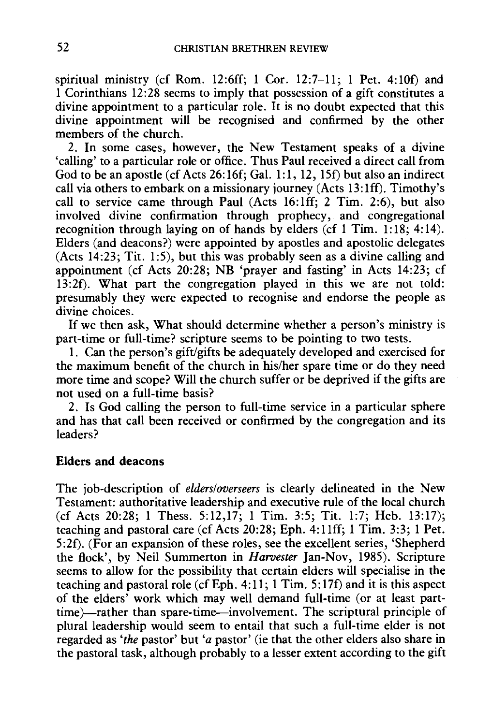spiritual ministry (cf Rom. 12:6ff; 1 Cor.  $12:7-11$ ; 1 Pet.  $4:10f$ ) and 1 Corinthians 12:28 seems to imply that possession of a gift constitutes a divine appointment to a particular role. It is no doubt expected that this divine appointment will be recognised and confirmed by the other members of the church.

2. In some cases, however, the New Testament speaks of a divine 'calling' to a particular role or office. Thus Paul received a direct call from God to be an apostle (cf Acts 26:16f; Gal. 1:1, 12, 1Sf) but also an indirect call via others to embark on a missionary journey (Acts 13: lff). Timothy's call to service came through Paul (Acts  $16:1ff$ ; 2 Tim. 2:6), but also involved divine confirmation through prophecy, and congregational recognition through laying on of hands by elders (cf 1 Tim. 1:18; 4:14). Elders (and deacons?) were appointed by apostles and apostolic delegates (Acts 14:23; Tit. 1:5), but this was probably seen as a divine calling and appointment (cf Acts 20:28; NB 'prayer and fasting' in Acts 14:23; cf 13:2f). What part the congregation played in this we are not told: presumably they were expected to recognise and endorse the people as divine choices.

If we then ask, What should determine whether a person's ministry is part-time or full-time? scripture seems to be pointing to two tests.

1. Can the person's gift/gifts be adequately developed and exercised for the maximum benefit of the church in his/her spare time or do they need more time and scope? Will the church suffer or be deprived if the gifts are not used on a full-time basis?

2. Is God calling the person to full-time service in a particular sphere and has that call been received or confirmed by the congregation and its leaders?

### Elders and deacons

The job-description of *elders/overseers* is clearly delineated in the New Testament: authoritative leadership and executive rule of the local church (cf Acts 20:28; 1 Thess. 5:12,17; 1 Tim. 3:5; Tit. 1:7; Heb. 13:17); teaching and pastoral care (cf Acts 20:28; Eph. 4: 11ff; 1 Tim. 3:3; 1 Pet. 5:2f). (For an expansion of these roles, see the excellent series, 'Shepherd the flock', by Neil Summerton in *Harvester* Jan-Nov, 1985). Scripture seems to allow for the possibility that certain elders will specialise in the teaching and pastoral role (cf Eph. 4: 11; 1 Tim. 5: 17f) and it is this aspect of the elders' work which may well demand full-time (or at least parttime)-rather than spare-time-involvement. The scriptural principle of plural leadership would seem to entail that such a full-time elder is not regarded as *'the* pastor' but *'a* pastor' (ie that the other elders also share in the pastoral task, although probably to a lesser extent according to the gift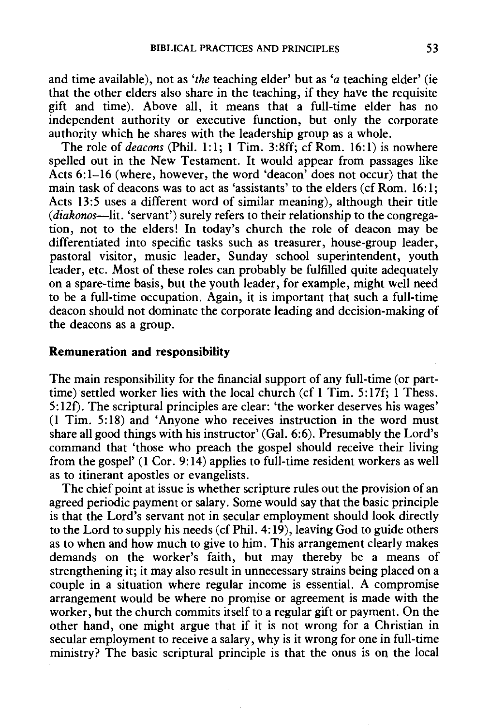and time available), not as *'the* teaching elder' but as *'a* teaching elder' (ie that the other elders also share in the teaching, if they have the requisite gift and time). Above all, it means that a full-time elder has no independent authority or executive function, but only the corporate authority which he shares with the leadership group as a whole.

The role of *deacons* (Phil. 1:1; 1 Tim. 3:8ff; cf Rom. 16:1) is nowhere spelled out in the New Testament. It would appear from passages like Acts 6:1-16 (where, however, the word 'deacon' does not occur) that the main task of deacons was to act as 'assistants' to the elders (cf Rom. 16:1; Acts 13:5 uses a different word of similar meaning), although their title *(diakonos-lit.* 'servant') surely refers to their relationship to the congregation, not to the elders! In today's church the role of deacon may be differentiated into specific tasks such as treasurer, house-group leader, pastoral visitor, music leader, Sunday school superintendent, youth leader, etc. Most of these roles can probably be fulfilled quite adequately on a spare-time basis, but the youth leader, for example, might well need to be a full-time occupation. Again, it is important that such a full-time deacon should not dominate the corporate leading and decision-making of the deacons as a group.

#### **Remuneration and responsibility**

The main responsibility for the financial support of any full-time (or parttime) settled worker lies with the local church (cf 1 Tim. 5:17f; **1** Thess. 5:12f). The scriptural principles are clear: 'the worker deserves his wages' (1 Tim. 5:18) and 'Anyone who receives instruction in the word must share all good things with his instructor' (Gal. 6:6). Presumably the Lord's command that 'those who preach the gospel should receive their living from the gospel' (1 Cor. 9:14) applies to full-time resident workers as well as to itinerant apostles or evangelists.

The chief point at issue is whether scripture rules out the provision of an agreed periodic payment or salary. Some would say that the basic principle is that the Lord's servant not in secular employment should look directly to the Lord to supply his needs (cf Phil. 4:19), leaving God to guide others as to when and how much to give to him. This arrangement clearly makes demands on the worker's faith, but may thereby be a means of strengthening it; it may also result in unnecessary strains being placed on a couple in a situation where regular income is essential. A compromise arrangement would be where no promise or agreement is made with the worker, but the church commits itself to a regular gift or payment. On the other hand, one might argue that if it is not wrong for a Christian in secular employment to receive a salary, why is it wrong for one in full-time ministry? The basic scriptural principle is that the onus is on the local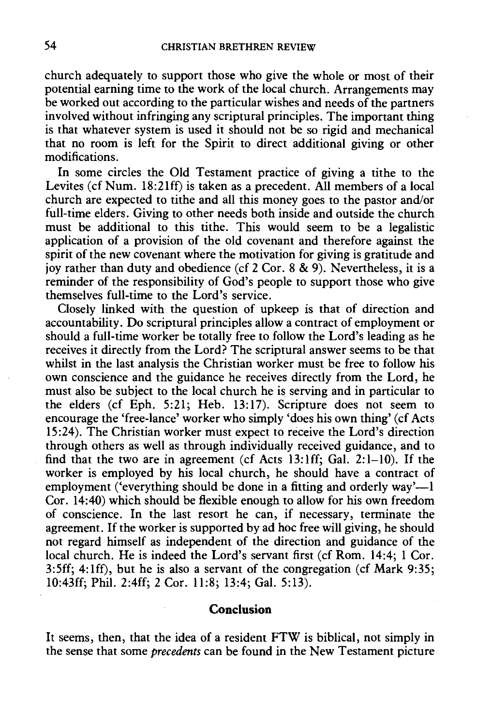church adequately to support those who give the whole or most of their potential earning time to the work of the local church. Arrangements may be worked out according to the particular wishes and needs of the partners involved without infringing any scriptural principles. The important thing is that whatever system is used it should not be so rigid and mechanical that no room is left for the Spirit to direct additional giving or other modifications.

In some circles the Old Testament practice of giving a tithe to the Levites (cf Num. 18:2lff) is taken as a precedent. All members of a local church are expected to tithe and all this money goes to the pastor and/or full-time elders. Giving to other needs both inside and outside the church must be additional to this tithe. This would seem to be a legalistic application of a provision of the old covenant and therefore against the spirit of the new covenant where the motivation for giving is gratitude and joy rather than duty and obedience (cf 2 Cor. 8 & 9). Nevertheless, it is a reminder of the responsibility of God's people to support those who give themselves full-time to the Lord's service.

Closely linked with the question of upkeep is that of direction and accountability. Do scriptural principles allow a contract of employment or should a full-time worker be totally free to follow the Lord's leading as he receives it directly from the Lord? The scriptural answer seems to be that whilst in the last analysis the Christian worker must be free to follow his own conscience and the guidance he receives directly from the Lord, he must also be subject to the local church he is serving and in particular to the elders (cf Eph. 5:21; Heb. 13: 17). Scripture does not seem to encourage the 'free-lance' worker who simply 'does his own thing' (cf Acts 15:24). The Christian worker must expect to receive the Lord's direction through others as well as through individually received guidance, and to find that the two are in agreement (cf Acts 13:1ff; Gal. 2:1-10). If the worker is employed by his local church, he should have a contract of employment ('everything should be done in a fitting and orderly  $way'$ — $\overline{\phantom{a}}$ Cor. 14:40) which should be flexible enough to allow for his own freedom of conscience. In the last resort he can, if necessary, terminate the agreement. If the worker is supported by ad hoc free will giving, he should not regard himself as independent of the direction and guidance of the local church. He is indeed the Lord's servant first (cf Rom. 14:4; 1 Cor. 3:5ff; 4:1ff), but he is also a servant of the congregation (cf Mark 9:35; 10:43ff; Phil. 2:4ff; 2 Cor. 11:8; 13:4; Gal. 5:13).

#### **Conclusion**

It seems, then, that the idea of a resident FTW is biblical, not simply in the sense that some *precedents* can be found in the New Testament picture